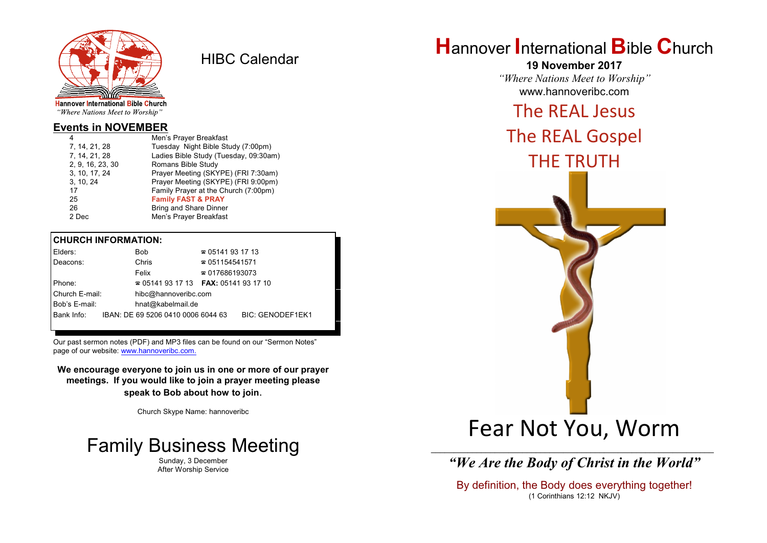

HIBC Calendar

"Where Nations Meet to Worship"

#### **Events in NOVEMBER**

| 4                | Men's Prayer Breakfast                |
|------------------|---------------------------------------|
| 7, 14, 21, 28    | Tuesday Night Bible Study (7:00pm)    |
| 7, 14, 21, 28    | Ladies Bible Study (Tuesday, 09:30am) |
| 2, 9, 16, 23, 30 | Romans Bible Study                    |
| 3, 10, 17, 24    | Prayer Meeting (SKYPE) (FRI 7:30am)   |
| 3, 10, 24        | Prayer Meeting (SKYPE) (FRI 9:00pm)   |
| 17               | Family Prayer at the Church (7:00pm)  |
| 25               | <b>Family FAST &amp; PRAY</b>         |
| 26               | <b>Bring and Share Dinner</b>         |
| 2 Dec            | Men's Prayer Breakfast                |
|                  |                                       |

#### **CHURCH INFORMATION:**

| Elders:        |  | Bob                                      | $\approx 05141931713$  |                         |  |
|----------------|--|------------------------------------------|------------------------|-------------------------|--|
| Deacons:       |  | Chris                                    | $\approx 051154541571$ |                         |  |
|                |  | Felix                                    | $\approx 017686193073$ |                         |  |
| Phone:         |  | $\approx 05141931713$ FAX: 0514193 17 10 |                        |                         |  |
| Church E-mail: |  | hibc@hannoveribc.com                     |                        |                         |  |
| Bob's E-mail:  |  | hnat@kabelmail.de                        |                        |                         |  |
| Bank Info:     |  | IBAN: DE 69 5206 0410 0006 6044 63       |                        | <b>BIC: GENODEF1EK1</b> |  |
|                |  |                                          |                        |                         |  |

Our past sermon notes (PDF) and MP3 files can be found on our "Sermon Notes" page of our website: [www.hannoveribc.com.](http://www.hannoveribc.com.)

**We encourage everyone to join us in one or more of our prayer meetings. If you would like to join a prayer meeting please speak to Bob about how to join**.

Church Skype Name: hannoveribc



Sunday, 3 December After Worship Service

# **H**annover **I**nternational **B**ible **C**hurch

**19 November 2017** *"Where Nations Meet to Worship"* www.hannoveribc.com

### The REAL Jesus

## The REAL Gospel THE TRUTH



*"We Are the Body of Christ in the World"*

By definition, the Body does everything together! (1 Corinthians 12:12 NKJV)